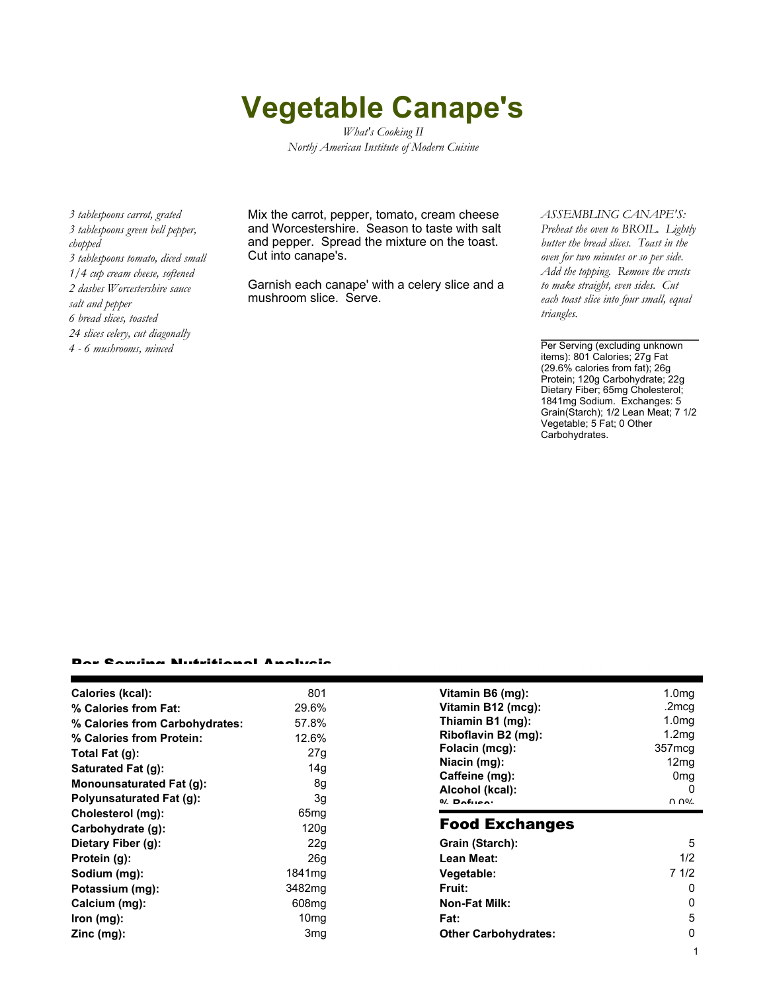## **Vegetable Canape's**

*What's Cooking II Northj American Institute of Modern Cuisine*

*3 tablespoons carrot, grated 3 tablespoons green bell pepper, chopped 3 tablespoons tomato, diced small 1/4 cup cream cheese, softened 2 dashes Worcestershire sauce salt and pepper 6 bread slices, toasted 24 slices celery, cut diagonally 4 - 6 mushrooms, minced*

Mix the carrot, pepper, tomato, cream cheese and Worcestershire. Season to taste with salt and pepper. Spread the mixture on the toast. Cut into canape's.

Garnish each canape' with a celery slice and a mushroom slice. Serve.

## *ASSEMBLING CANAPE'S:*

*Preheat the oven to BROIL. Lightly butter the bread slices. Toast in the oven for two minutes or so per side. Add the topping. Remove the crusts to make straight, even sides. Cut each toast slice into four small, equal triangles.*

Per Serving (excluding unknown items): 801 Calories; 27g Fat (29.6% calories from fat); 26g Protein; 120g Carbohydrate; 22g Dietary Fiber; 65mg Cholesterol; 1841mg Sodium. Exchanges: 5 Grain(Starch); 1/2 Lean Meat; 7 1/2 Vegetable; 5 Fat; 0 Other Carbohydrates.

## er Candaa Nutritianal Analysis

| Calories (kcal):               | 801               | Vitamin B6 (mg):                  | 1.0 <sub>mg</sub>                          |
|--------------------------------|-------------------|-----------------------------------|--------------------------------------------|
| % Calories from Fat:           | 29.6%             | Vitamin B12 (mcg):                | .2mcg                                      |
| % Calories from Carbohydrates: | 57.8%             | Thiamin B1 (mg):                  | 1.0 <sub>mq</sub>                          |
| % Calories from Protein:       | 12.6%             | Riboflavin B2 (mg):               | 1.2 <sub>mq</sub>                          |
| Total Fat $(g)$ :              | 27g               | Folacin (mcg):                    | 357 <sub>mcg</sub>                         |
| Saturated Fat (g):             | 14g               | Niacin (mg):                      | 12mg                                       |
| Monounsaturated Fat (g):       | 8g                | Caffeine (mg):                    | 0 <sub>mg</sub>                            |
| Polyunsaturated Fat (g):       | 3g                | Alcohol (kcal):<br>$0/2$ Pofileon | $\Omega$<br>$\Omega$ $\Omega$ <sup>o</sup> |
| Cholesterol (mg):              | 65 <sub>mg</sub>  |                                   |                                            |
| Carbohydrate (g):              | 120g              | <b>Food Exchanges</b>             |                                            |
| Dietary Fiber (g):             | 22g               | Grain (Starch):                   | 5                                          |
| Protein (g):                   | 26 <sub>g</sub>   | Lean Meat:                        | 1/2                                        |
| Sodium (mg):                   | 1841mg            | Vegetable:                        | 71/2                                       |
| Potassium (mg):                | 3482mg            | <b>Fruit:</b>                     | 0                                          |
| Calcium (mg):                  | 608 <sub>mg</sub> | <b>Non-Fat Milk:</b>              | 0                                          |
| lron (mg):                     | 10 <sub>mg</sub>  | Fat:                              | 5                                          |
| $Zinc$ (mg):                   | 3 <sub>mg</sub>   | <b>Other Carbohydrates:</b>       | 0                                          |
|                                |                   |                                   |                                            |